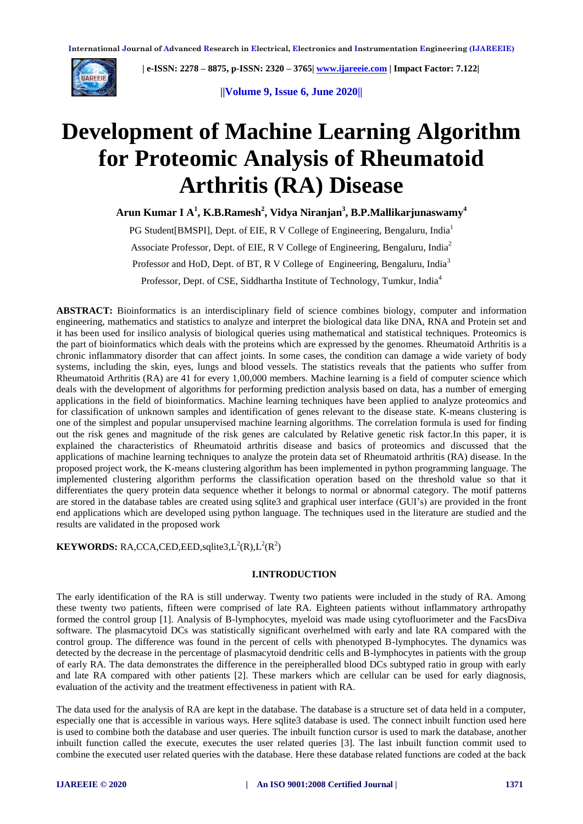

 **| e-ISSN: 2278 – 8875, p-ISSN: 2320 – 3765| [www.ijareeie.com](http://www.ijareeie.com/) | Impact Factor: 7.122|** 

**||Volume 9, Issue 6, June 2020||** 

# **Development of Machine Learning Algorithm for Proteomic Analysis of Rheumatoid Arthritis (RA) Disease**

**Arun Kumar I A 1 , K.B.Ramesh<sup>2</sup> , Vidya Niranjan<sup>3</sup> , B.P.Mallikarjunaswamy<sup>4</sup>**

PG Student [BMSPI], Dept. of EIE, R V College of Engineering, Bengaluru, India<sup>1</sup> Associate Professor, Dept. of EIE, R V College of Engineering, Bengaluru, India<sup>2</sup> Professor and HoD, Dept. of BT, R V College of Engineering, Bengaluru, India<sup>3</sup> Professor, Dept. of CSE, Siddhartha Institute of Technology, Tumkur, India<sup>4</sup>

**ABSTRACT:** Bioinformatics is an interdisciplinary field of science combines biology, computer and information engineering, mathematics and statistics to analyze and interpret the biological data like DNA, RNA and Protein set and it has been used for insilico analysis of biological queries using mathematical and statistical techniques. Proteomics is the part of bioinformatics which deals with the proteins which are expressed by the genomes. Rheumatoid Arthritis is a chronic inflammatory disorder that can affect joints. In some cases, the condition can damage a wide variety of body systems, including the skin, eyes, lungs and blood vessels. The statistics reveals that the patients who suffer from Rheumatoid Arthritis (RA) are 41 for every 1,00,000 members. Machine learning is a field of computer science which deals with the development of algorithms for performing prediction analysis based on data, has a number of emerging applications in the field of bioinformatics. Machine learning techniques have been applied to analyze proteomics and for classification of unknown samples and identification of genes relevant to the disease state. K-means clustering is one of the simplest and popular unsupervised machine learning algorithms. The correlation formula is used for finding out the risk genes and magnitude of the risk genes are calculated by Relative genetic risk factor.In this paper, it is explained the characteristics of Rheumatoid arthritis disease and basics of proteomics and discussed that the applications of machine learning techniques to analyze the protein data set of Rheumatoid arthritis (RA) disease. In the proposed project work, the K-means clustering algorithm has been implemented in python programming language. The implemented clustering algorithm performs the classification operation based on the threshold value so that it differentiates the query protein data sequence whether it belongs to normal or abnormal category. The motif patterns are stored in the database tables are created using sqlite3 and graphical user interface (GUI's) are provided in the front end applications which are developed using python language. The techniques used in the literature are studied and the results are validated in the proposed work

**KEYWORDS:** RA,CCA,CED,EED,sqlite3, $L^2(R)$ , $L^2(R^2)$ 

## **I.INTRODUCTION**

The early identification of the RA is still underway. Twenty two patients were included in the study of RA. Among these twenty two patients, fifteen were comprised of late RA. Eighteen patients without inflammatory arthropathy formed the control group [1]. Analysis of B-lymphocytes, myeloid was made using cytofluorimeter and the FacsDiva software. The plasmacytoid DCs was statistically significant overhelmed with early and late RA compared with the control group. The difference was found in the percent of cells with phenotyped B-lymphocytes. The dynamics was detected by the decrease in the percentage of plasmacytoid dendritic cells and B-lymphocytes in patients with the group of early RA. The data demonstrates the difference in the pereipheralled blood DCs subtyped ratio in group with early and late RA compared with other patients [2]. These markers which are cellular can be used for early diagnosis, evaluation of the activity and the treatment effectiveness in patient with RA.

The data used for the analysis of RA are kept in the database. The database is a structure set of data held in a computer, especially one that is accessible in various ways. Here sqlite3 database is used. The connect inbuilt function used here is used to combine both the database and user queries. The inbuilt function cursor is used to mark the database, another inbuilt function called the execute, executes the user related queries [3]. The last inbuilt function commit used to combine the executed user related queries with the database. Here these database related functions are coded at the back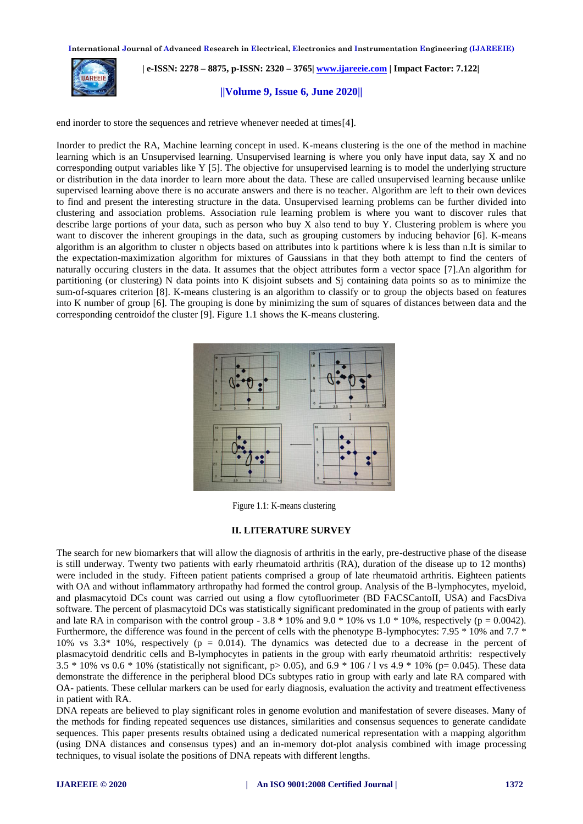

 **| e-ISSN: 2278 – 8875, p-ISSN: 2320 – 3765| [www.ijareeie.com](http://www.ijareeie.com/) | Impact Factor: 7.122|** 

# **||Volume 9, Issue 6, June 2020||**

end inorder to store the sequences and retrieve whenever needed at times[4].

Inorder to predict the RA, Machine learning concept in used. K-means clustering is the one of the method in machine learning which is an Unsupervised learning. Unsupervised learning is where you only have input data, say X and no corresponding output variables like Y [5]. The objective for unsupervised learning is to model the underlying structure or distribution in the data inorder to learn more about the data. These are called unsupervised learning because unlike supervised learning above there is no accurate answers and there is no teacher. Algorithm are left to their own devices to find and present the interesting structure in the data. Unsupervised learning problems can be further divided into clustering and association problems. Association rule learning problem is where you want to discover rules that describe large portions of your data, such as person who buy X also tend to buy Y. Clustering problem is where you want to discover the inherent groupings in the data, such as grouping customers by inducing behavior [6]. K-means algorithm is an algorithm to cluster n objects based on attributes into k partitions where k is less than n.It is similar to the expectation-maximization algorithm for mixtures of Gaussians in that they both attempt to find the centers of naturally occuring clusters in the data. It assumes that the object attributes form a vector space [7].An algorithm for partitioning (or clustering) N data points into K disjoint subsets and Sj containing data points so as to minimize the sum-of-squares criterion [8]. K-means clustering is an algorithm to classify or to group the objects based on features into K number of group [6]. The grouping is done by minimizing the sum of squares of distances between data and the corresponding centroidof the cluster [9]. Figure 1.1 shows the K-means clustering.



Figure 1.1: K-means clustering

#### **II. LITERATURE SURVEY**

The search for new biomarkers that will allow the diagnosis of arthritis in the early, pre-destructive phase of the disease is still underway. Twenty two patients with early rheumatoid arthritis (RA), duration of the disease up to 12 months) were included in the study. Fifteen patient patients comprised a group of late rheumatoid arthritis. Eighteen patients with OA and without inflammatory arthropathy had formed the control group. Analysis of the B-lymphocytes, myeloid, and plasmacytoid DCs count was carried out using a flow cytofluorimeter (BD FACSCantoII, USA) and FacsDiva software. The percent of plasmacytoid DCs was statistically significant predominated in the group of patients with early and late RA in comparison with the control group - 3.8  $*$  10% and 9.0  $*$  10% vs 1.0  $*$  10%, respectively (p = 0.0042). Furthermore, the difference was found in the percent of cells with the phenotype B-lymphocytes: 7.95  $*$  10% and 7.7  $*$ 10% vs  $3.3*10%$ , respectively (p = 0.014). The dynamics was detected due to a decrease in the percent of plasmacytoid dendritic cells and B-lymphocytes in patients in the group with early rheumatoid arthritis: respectively  $3.5 * 10\%$  vs 0.6  $* 10\%$  (statistically not significant, p> 0.05), and 6.9  $* 106 / 1$  vs 4.9  $* 10\%$  (p= 0.045). These data demonstrate the difference in the peripheral blood DCs subtypes ratio in group with early and late RA compared with OA- patients. These cellular markers can be used for early diagnosis, evaluation the activity and treatment effectiveness in patient with RA.

DNA repeats are believed to play significant roles in genome evolution and manifestation of severe diseases. Many of the methods for finding repeated sequences use distances, similarities and consensus sequences to generate candidate sequences. This paper presents results obtained using a dedicated numerical representation with a mapping algorithm (using DNA distances and consensus types) and an in-memory dot-plot analysis combined with image processing techniques, to visual isolate the positions of DNA repeats with different lengths.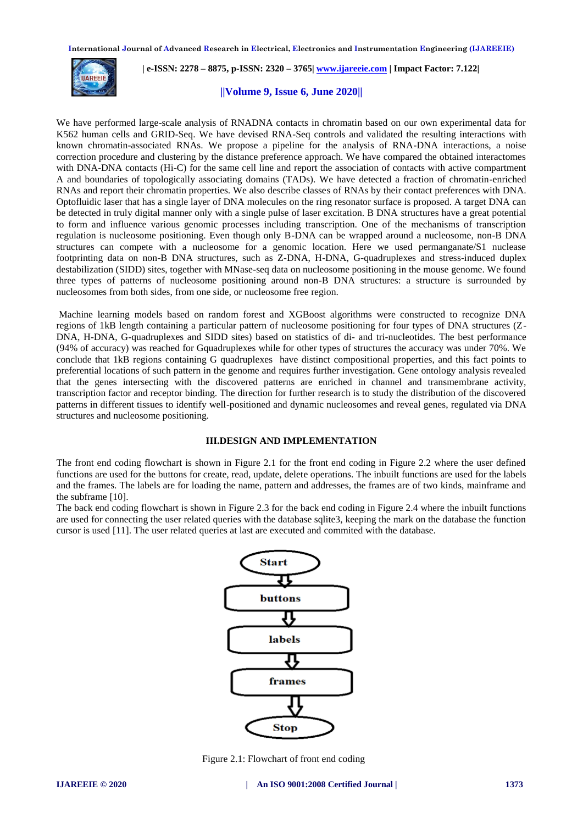

 **| e-ISSN: 2278 – 8875, p-ISSN: 2320 – 3765| [www.ijareeie.com](http://www.ijareeie.com/) | Impact Factor: 7.122|** 

# **||Volume 9, Issue 6, June 2020||**

We have performed large-scale analysis of RNADNA contacts in chromatin based on our own experimental data for K562 human cells and GRID-Seq. We have devised RNA-Seq controls and validated the resulting interactions with known chromatin-associated RNAs. We propose a pipeline for the analysis of RNA-DNA interactions, a noise correction procedure and clustering by the distance preference approach. We have compared the obtained interactomes with DNA-DNA contacts (Hi-C) for the same cell line and report the association of contacts with active compartment A and boundaries of topologically associating domains (TADs). We have detected a fraction of chromatin-enriched RNAs and report their chromatin properties. We also describe classes of RNAs by their contact preferences with DNA. Optofluidic laser that has a single layer of DNA molecules on the ring resonator surface is proposed. A target DNA can be detected in truly digital manner only with a single pulse of laser excitation. B DNA structures have a great potential to form and influence various genomic processes including transcription. One of the mechanisms of transcription regulation is nucleosome positioning. Even though only B-DNA can be wrapped around a nucleosome, non-B DNA structures can compete with a nucleosome for a genomic location. Here we used permanganate/S1 nuclease footprinting data on non-B DNA structures, such as Z-DNA, H-DNA, G-quadruplexes and stress-induced duplex destabilization (SIDD) sites, together with MNase-seq data on nucleosome positioning in the mouse genome. We found three types of patterns of nucleosome positioning around non-B DNA structures: a structure is surrounded by nucleosomes from both sides, from one side, or nucleosome free region.

Machine learning models based on random forest and XGBoost algorithms were constructed to recognize DNA regions of 1kB length containing a particular pattern of nucleosome positioning for four types of DNA structures (Z-DNA, H-DNA, G-quadruplexes and SIDD sites) based on statistics of di- and tri-nucleotides. The best performance (94% of accuracy) was reached for Gquadruplexes while for other types of structures the accuracy was under 70%. We conclude that 1kB regions containing G quadruplexes have distinct compositional properties, and this fact points to preferential locations of such pattern in the genome and requires further investigation. Gene ontology analysis revealed that the genes intersecting with the discovered patterns are enriched in channel and transmembrane activity, transcription factor and receptor binding. The direction for further research is to study the distribution of the discovered patterns in different tissues to identify well-positioned and dynamic nucleosomes and reveal genes, regulated via DNA structures and nucleosome positioning.

# **III.DESIGN AND IMPLEMENTATION**

The front end coding flowchart is shown in Figure 2.1 for the front end coding in Figure 2.2 where the user defined functions are used for the buttons for create, read, update, delete operations. The inbuilt functions are used for the labels and the frames. The labels are for loading the name, pattern and addresses, the frames are of two kinds, mainframe and the subframe [10].

The back end coding flowchart is shown in Figure 2.3 for the back end coding in Figure 2.4 where the inbuilt functions are used for connecting the user related queries with the database sqlite3, keeping the mark on the database the function cursor is used [11]. The user related queries at last are executed and commited with the database.



Figure 2.1: Flowchart of front end coding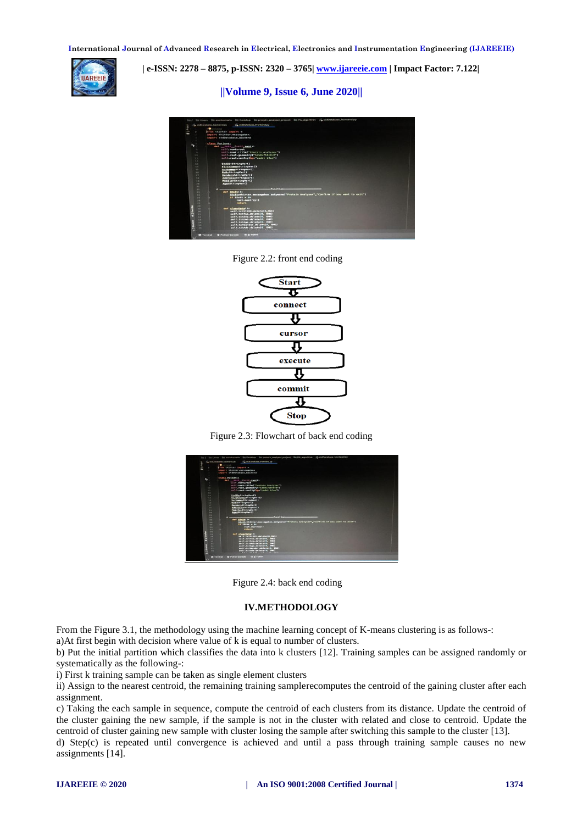

 **| e-ISSN: 2278 – 8875, p-ISSN: 2320 – 3765| [www.ijareeie.com](http://www.ijareeie.com/) | Impact Factor: 7.122|** 

**||Volume 9, Issue 6, June 2020||** 



Figure 2.2: front end coding



Figure 2.3: Flowchart of back end coding



Figure 2.4: back end coding

#### **IV.METHODOLOGY**

From the Figure 3.1, the methodology using the machine learning concept of K-means clustering is as follows-:

a)At first begin with decision where value of k is equal to number of clusters.

b) Put the initial partition which classifies the data into k clusters [12]. Training samples can be assigned randomly or systematically as the following-:

i) First k training sample can be taken as single element clusters

ii) Assign to the nearest centroid, the remaining training samplerecomputes the centroid of the gaining cluster after each assignment.

c) Taking the each sample in sequence, compute the centroid of each clusters from its distance. Update the centroid of the cluster gaining the new sample, if the sample is not in the cluster with related and close to centroid. Update the centroid of cluster gaining new sample with cluster losing the sample after switching this sample to the cluster [13].

d) Step(c) is repeated until convergence is achieved and until a pass through training sample causes no new assignments [14].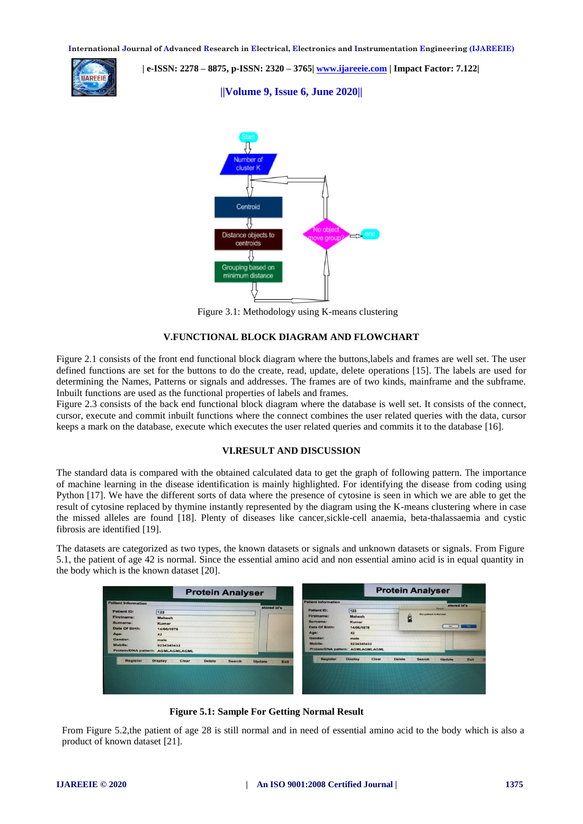

 **| e-ISSN: 2278 – 8875, p-ISSN: 2320 – 3765| [www.ijareeie.com](http://www.ijareeie.com/) | Impact Factor: 7.122|** 

**||Volume 9, Issue 6, June 2020||** 



Figure 3.1: Methodology using K-means clustering

# **V.FUNCTIONAL BLOCK DIAGRAM AND FLOWCHART**

Figure 2.1 consists of the front end functional block diagram where the buttons,labels and frames are well set. The user defined functions are set for the buttons to do the create, read, update, delete operations [15]. The labels are used for determining the Names, Patterns or signals and addresses. The frames are of two kinds, mainframe and the subframe. Inbuilt functions are used as the functional properties of labels and frames.

Figure 2.3 consists of the back end functional block diagram where the database is well set. It consists of the connect, cursor, execute and commit inbuilt functions where the connect combines the user related queries with the data, cursor keeps a mark on the database, execute which executes the user related queries and commits it to the database [16].

#### **VI.RESULT AND DISCUSSION**

The standard data is compared with the obtained calculated data to get the graph of following pattern. The importance of machine learning in the disease identification is mainly highlighted. For identifying the disease from coding using Python [17]. We have the different sorts of data where the presence of cytosine is seen in which we are able to get the result of cytosine replaced by thymine instantly represented by the diagram using the K-means clustering where in case the missed alleles are found [18]. Plenty of diseases like cancer,sickle-cell anaemia, beta-thalassaemia and cystic fibrosis are identified [19].

The datasets are categorized as two types, the known datasets or signals and unknown datasets or signals. From Figure 5.1, the patient of age 42 is normal. Since the essential amino acid and non essential amino acid is in equal quantity in the body which is the known dataset [20].

| <b>Protein Analyser</b>    |                                                           |                       | <b>Protein Analyser</b>    |                                                 |                                           |
|----------------------------|-----------------------------------------------------------|-----------------------|----------------------------|-------------------------------------------------|-------------------------------------------|
| <b>Patient Information</b> |                                                           |                       | <b>Patient Information</b> |                                                 | stored id's                               |
| <b>Patient ID:</b>         | 123                                                       | stored id's           | Patient ID:                | 123                                             | <b>Result</b>                             |
| <b>Firstname:</b>          | <b>Mahesh</b>                                             |                       | <b>Firstname:</b>          | Mahesh                                          | the patient is Normal                     |
| Surname:                   | Kumar                                                     |                       | Surname:                   | Kumar                                           |                                           |
| Date Of Birth:             | 14/06/1978                                                |                       | Date Of Birth:             | 14/06/1978                                      | Yes.<br>No                                |
| Age:                       | 42                                                        |                       | Age:                       | 42                                              |                                           |
| Gender:                    | male                                                      |                       | Gender:                    | male                                            |                                           |
| Mobile:                    | 9234345432                                                |                       | Mobile:                    | 9234345432<br>Protein/DNA pattern: AGMLAGMLAGML |                                           |
|                            | Protein/DNA pattern: AGMLAGMLAGML                         |                       |                            |                                                 |                                           |
| <b>Register</b>            | <b>Display</b><br>Clear<br><b>Delete</b><br><b>Search</b> | <b>Update</b><br>Exit | <b>Register</b>            | <b>Display</b><br>Clear                         | <b>Delete</b><br>Search<br>Exit<br>Update |
|                            |                                                           |                       |                            |                                                 |                                           |
|                            |                                                           |                       |                            |                                                 |                                           |
|                            |                                                           |                       |                            |                                                 |                                           |
|                            |                                                           |                       |                            |                                                 |                                           |
|                            |                                                           |                       |                            |                                                 |                                           |

 **Figure 5.1: Sample For Getting Normal Result**

From Figure 5.2,the patient of age 28 is still normal and in need of essential amino acid to the body which is also a product of known dataset [21].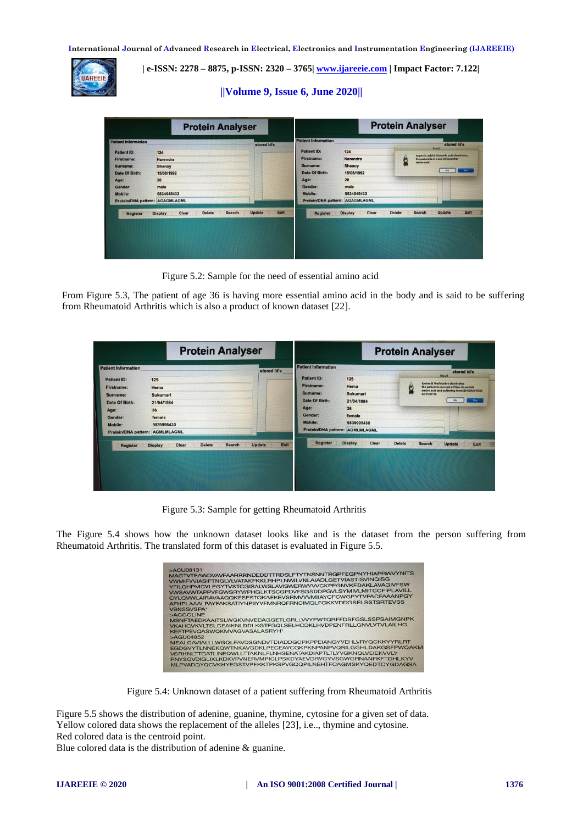

 **| e-ISSN: 2278 – 8875, p-ISSN: 2320 – 3765| [www.ijareeie.com](http://www.ijareeie.com/) | Impact Factor: 7.122|** 

# **||Volume 9, Issue 6, June 2020||**

|                                                                                                      | <b>Protein Analyser</b>                                   |                       | <b>Protein Analyser</b>                                                                                     |                                               |                                                                                                                                                          |
|------------------------------------------------------------------------------------------------------|-----------------------------------------------------------|-----------------------|-------------------------------------------------------------------------------------------------------------|-----------------------------------------------|----------------------------------------------------------------------------------------------------------------------------------------------------------|
| <b>Patient Information</b><br><b>Patient ID:</b><br>Firstname:<br>Surname:<br>Date Of Birth:<br>Age: | 124<br>Narendra<br><b>Shenoy</b><br>15/08/1992<br>28      | stored id's           | <b>Patient Information</b><br><b>Patient ID:</b><br><b>Firstname:</b><br>Surname:<br>Date Of Birth:<br>Age: | 124<br>Narendra<br>Shenoy<br>15/08/1992<br>28 | stored id's<br><b>Result</b><br>Aspartic acid & Glutamic acid dominates,<br>the patient is in need of Essential<br>amino acid<br>Yes <sup>-</sup><br>No. |
| Gender:<br><b>Mobile:</b>                                                                            | male<br>9834645432<br>Protein/DNA pattern: AGAGMLAGML     |                       | Gender:<br>Mobile:<br>Protein/DNA pattern:                                                                  | male<br>9834645432<br>AGAGMLAGML              |                                                                                                                                                          |
| <b>Register</b>                                                                                      | <b>Search</b><br><b>Delete</b><br>Clear<br><b>Display</b> | Exit<br><b>Update</b> | <b>Register</b>                                                                                             | Clear<br><b>Display</b>                       | Exit<br><b>Update</b><br><b>Delete</b><br><b>Search</b><br>D.                                                                                            |

Figure 5.2: Sample for the need of essential amino acid

From Figure 5.3, The patient of age 36 is having more essential amino acid in the body and is said to be suffering from Rheumatoid Arthritis which is also a product of known dataset [22].

| <b>Patient Information</b><br><b>Patient Information</b><br>stored id's<br><b>Patient ID:</b><br>125<br>125<br><b>Patient ID:</b><br>Firstname:                                                                                                             | stored id's                                                                                                                                      |  |
|-------------------------------------------------------------------------------------------------------------------------------------------------------------------------------------------------------------------------------------------------------------|--------------------------------------------------------------------------------------------------------------------------------------------------|--|
| Hema<br><b>Firstname:</b><br>Hema                                                                                                                                                                                                                           | <b>Result</b><br><b>Lysine &amp; Methionine dominates</b><br>the patient is in need of Non-Essential<br>amino acid and suffering from RHEUMATOID |  |
| Surname:<br>Sukumari<br>Sukumari<br>Surname:<br>Date Of Birth:<br>21/04/1984<br>Date Of Birth:<br>21/04/1984<br>Age:<br>36<br>36<br>Age:<br>Gender:<br>female<br>female<br>Gender:<br>Mobile:<br>9839995430<br>9839995430<br>Mobile:                        | <b>ARTHRITIS</b><br>Yes:<br>No                                                                                                                   |  |
| Protein/DNA pattern: AGMLMLAGML<br>Protein/DNA pattern: AGMLMLAGML<br><b>Register</b><br><b>Display</b><br>Clear<br><b>Delete</b><br><b>Search</b><br>Exit<br><b>Update</b><br>Clear<br><b>Delete</b><br><b>Search</b><br><b>Display</b><br><b>Register</b> | Update<br>Exit                                                                                                                                   |  |

Figure 5.3: Sample for getting Rheumatoid Arthritis

The Figure 5.4 shows how the unknown dataset looks like and is the dataset from the person suffering from Rheumatoid Arthritis. The translated form of this dataset is evaluated in Figure 5.5.



Figure 5.4: Unknown dataset of a patient suffering from Rheumatoid Arthritis

Figure 5.5 shows the distribution of adenine, guanine, thymine, cytosine for a given set of data. Yellow colored data shows the replacement of the alleles [23], i.e.., thymine and cytosine. Red colored data is the centroid point.

Blue colored data is the distribution of adenine & guanine.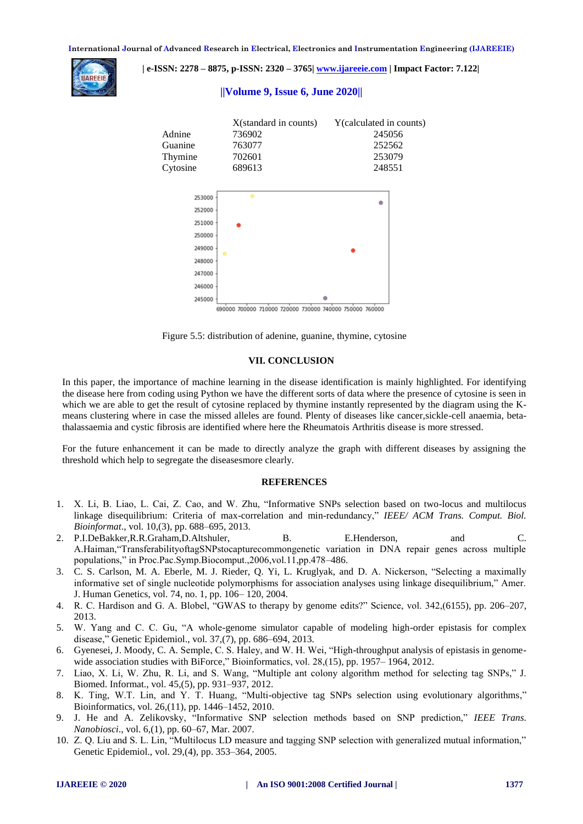

 **| e-ISSN: 2278 – 8875, p-ISSN: 2320 – 3765| [www.ijareeie.com](http://www.ijareeie.com/) | Impact Factor: 7.122|** 

# **||Volume 9, Issue 6, June 2020||**



690000 700000 710000 720000 730000 740000 750000 760000

Figure 5.5: distribution of adenine, guanine, thymine, cytosine

#### **VII. CONCLUSION**

In this paper, the importance of machine learning in the disease identification is mainly highlighted. For identifying the disease here from coding using Python we have the different sorts of data where the presence of cytosine is seen in which we are able to get the result of cytosine replaced by thymine instantly represented by the diagram using the Kmeans clustering where in case the missed alleles are found. Plenty of diseases like cancer,sickle-cell anaemia, betathalassaemia and cystic fibrosis are identified where here the Rheumatois Arthritis disease is more stressed.

For the future enhancement it can be made to directly analyze the graph with different diseases by assigning the threshold which help to segregate the diseasesmore clearly.

#### **REFERENCES**

- 1. X. Li, B. Liao, L. Cai, Z. Cao, and W. Zhu, "Informative SNPs selection based on two-locus and multilocus linkage disequilibrium: Criteria of max-correlation and min-redundancy," *IEEE/ ACM Trans. Comput. Biol. Bioinformat*., vol. 10,(3), pp. 688–695, 2013.
- 2. P.I.DeBakker,R.R.Graham,D.Altshuler, B. E.Henderson, and C. A.Haiman,"TransferabilityoftagSNPstocapturecommongenetic variation in DNA repair genes across multiple populations," in Proc.Pac.Symp.Biocomput.,2006,vol.11,pp.478–486.
- 3. C. S. Carlson, M. A. Eberle, M. J. Rieder, Q. Yi, L. Kruglyak, and D. A. Nickerson, "Selecting a maximally informative set of single nucleotide polymorphisms for association analyses using linkage disequilibrium," Amer. J. Human Genetics, vol. 74, no. 1, pp. 106– 120, 2004.
- 4. R. C. Hardison and G. A. Blobel, "GWAS to therapy by genome edits?" Science, vol. 342,(6155), pp. 206–207, 2013.
- 5. W. Yang and C. C. Gu, "A whole-genome simulator capable of modeling high-order epistasis for complex disease," Genetic Epidemiol., vol. 37,(7), pp. 686–694, 2013.
- 6. Gyenesei, J. Moody, C. A. Semple, C. S. Haley, and W. H. Wei, "High-throughput analysis of epistasis in genomewide association studies with BiForce," Bioinformatics, vol. 28,(15), pp. 1957–1964, 2012.
- 7. Liao, X. Li, W. Zhu, R. Li, and S. Wang, "Multiple ant colony algorithm method for selecting tag SNPs," J. Biomed. Informat., vol. 45,(5), pp. 931–937, 2012.
- 8. K. Ting, W.T. Lin, and Y. T. Huang, "Multi-objective tag SNPs selection using evolutionary algorithms," Bioinformatics, vol. 26,(11), pp. 1446–1452, 2010.
- 9. J. He and A. Zelikovsky, "Informative SNP selection methods based on SNP prediction," *IEEE Trans. Nanobiosci*., vol. 6,(1), pp. 60–67, Mar. 2007.
- 10. Z. Q. Liu and S. L. Lin, "Multilocus LD measure and tagging SNP selection with generalized mutual information," Genetic Epidemiol., vol. 29,(4), pp. 353–364, 2005.